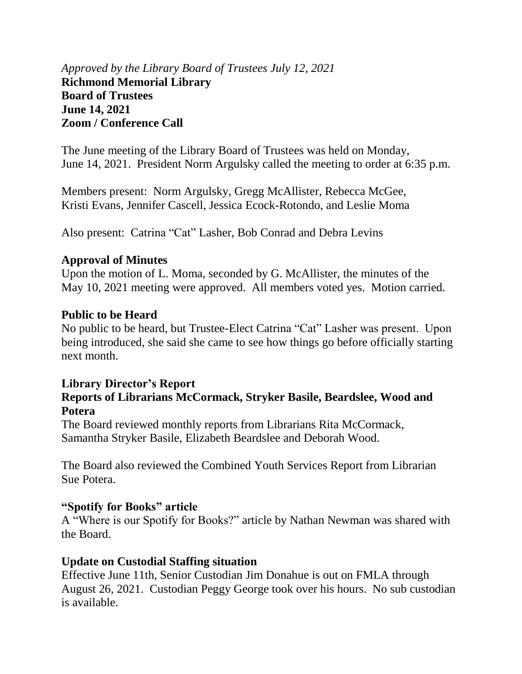*Approved by the Library Board of Trustees July 12, 2021* **Richmond Memorial Library Board of Trustees June 14, 2021 Zoom / Conference Call**

The June meeting of the Library Board of Trustees was held on Monday, June 14, 2021. President Norm Argulsky called the meeting to order at 6:35 p.m.

Members present: Norm Argulsky, Gregg McAllister, Rebecca McGee, Kristi Evans, Jennifer Cascell, Jessica Ecock-Rotondo, and Leslie Moma

Also present: Catrina "Cat" Lasher, Bob Conrad and Debra Levins

## **Approval of Minutes**

Upon the motion of L. Moma, seconded by G. McAllister, the minutes of the May 10, 2021 meeting were approved. All members voted yes. Motion carried.

## **Public to be Heard**

No public to be heard, but Trustee-Elect Catrina "Cat" Lasher was present. Upon being introduced, she said she came to see how things go before officially starting next month.

## **Library Director's Report**

# **Reports of Librarians McCormack, Stryker Basile, Beardslee, Wood and Potera**

The Board reviewed monthly reports from Librarians Rita McCormack, Samantha Stryker Basile, Elizabeth Beardslee and Deborah Wood.

The Board also reviewed the Combined Youth Services Report from Librarian Sue Potera.

## **"Spotify for Books" article**

A "Where is our Spotify for Books?" article by Nathan Newman was shared with the Board.

## **Update on Custodial Staffing situation**

Effective June 11th, Senior Custodian Jim Donahue is out on FMLA through August 26, 2021. Custodian Peggy George took over his hours. No sub custodian is available.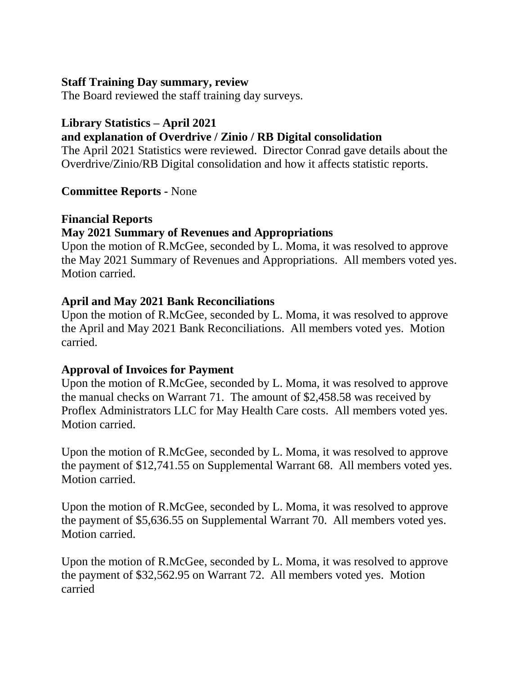## **Staff Training Day summary, review**

The Board reviewed the staff training day surveys.

# **Library Statistics – April 2021**

# **and explanation of Overdrive / Zinio / RB Digital consolidation**

The April 2021 Statistics were reviewed. Director Conrad gave details about the Overdrive/Zinio/RB Digital consolidation and how it affects statistic reports.

## **Committee Reports -** None

#### **Financial Reports May 2021 Summary of Revenues and Appropriations**

Upon the motion of R.McGee, seconded by L. Moma, it was resolved to approve the May 2021 Summary of Revenues and Appropriations. All members voted yes. Motion carried.

## **April and May 2021 Bank Reconciliations**

Upon the motion of R.McGee, seconded by L. Moma, it was resolved to approve the April and May 2021 Bank Reconciliations. All members voted yes. Motion carried.

## **Approval of Invoices for Payment**

Upon the motion of R.McGee, seconded by L. Moma, it was resolved to approve the manual checks on Warrant 71. The amount of \$2,458.58 was received by Proflex Administrators LLC for May Health Care costs. All members voted yes. Motion carried.

Upon the motion of R.McGee, seconded by L. Moma, it was resolved to approve the payment of \$12,741.55 on Supplemental Warrant 68. All members voted yes. Motion carried.

Upon the motion of R.McGee, seconded by L. Moma, it was resolved to approve the payment of \$5,636.55 on Supplemental Warrant 70. All members voted yes. Motion carried.

Upon the motion of R.McGee, seconded by L. Moma, it was resolved to approve the payment of \$32,562.95 on Warrant 72. All members voted yes. Motion carried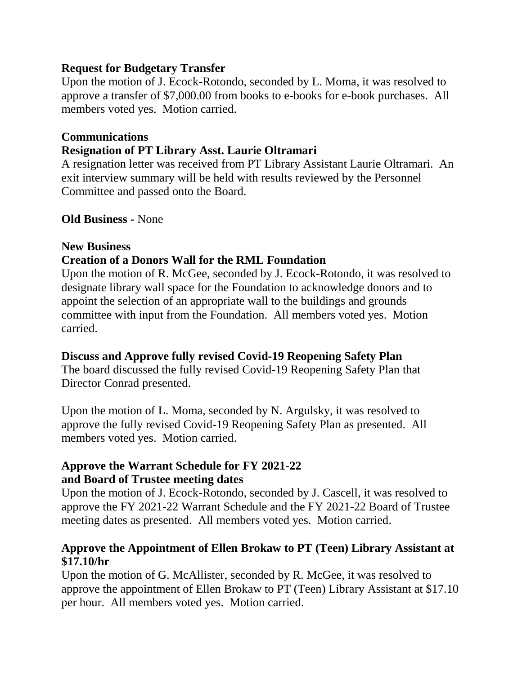## **Request for Budgetary Transfer**

Upon the motion of J. Ecock-Rotondo, seconded by L. Moma, it was resolved to approve a transfer of \$7,000.00 from books to e-books for e-book purchases. All members voted yes. Motion carried.

# **Communications**

# **Resignation of PT Library Asst. Laurie Oltramari**

A resignation letter was received from PT Library Assistant Laurie Oltramari. An exit interview summary will be held with results reviewed by the Personnel Committee and passed onto the Board.

**Old Business -** None

## **New Business**

## **Creation of a Donors Wall for the RML Foundation**

Upon the motion of R. McGee, seconded by J. Ecock-Rotondo, it was resolved to designate library wall space for the Foundation to acknowledge donors and to appoint the selection of an appropriate wall to the buildings and grounds committee with input from the Foundation. All members voted yes. Motion carried.

## **Discuss and Approve fully revised Covid-19 Reopening Safety Plan**

The board discussed the fully revised Covid-19 Reopening Safety Plan that Director Conrad presented.

Upon the motion of L. Moma, seconded by N. Argulsky, it was resolved to approve the fully revised Covid-19 Reopening Safety Plan as presented. All members voted yes. Motion carried.

## **Approve the Warrant Schedule for FY 2021-22 and Board of Trustee meeting dates**

Upon the motion of J. Ecock-Rotondo, seconded by J. Cascell, it was resolved to approve the FY 2021-22 Warrant Schedule and the FY 2021-22 Board of Trustee meeting dates as presented. All members voted yes. Motion carried.

# **Approve the Appointment of Ellen Brokaw to PT (Teen) Library Assistant at \$17.10/hr**

Upon the motion of G. McAllister, seconded by R. McGee, it was resolved to approve the appointment of Ellen Brokaw to PT (Teen) Library Assistant at \$17.10 per hour. All members voted yes. Motion carried.